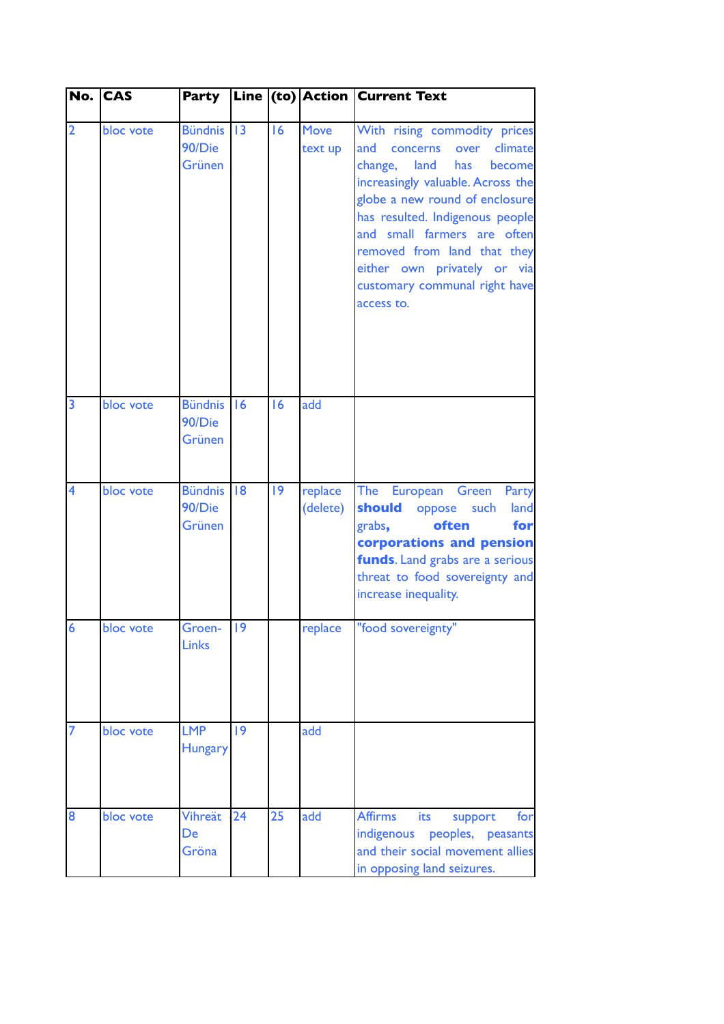|                         | No. CAS   | <b>Party</b>                       |    |    |                        | Line (to) Action Current Text                                                                                                                                                                                                                                                                                                                          |
|-------------------------|-----------|------------------------------------|----|----|------------------------|--------------------------------------------------------------------------------------------------------------------------------------------------------------------------------------------------------------------------------------------------------------------------------------------------------------------------------------------------------|
| $\overline{2}$          | bloc vote | <b>Bündnis</b><br>90/Die<br>Grünen | 3  | 16 | <b>Move</b><br>text up | With rising commodity prices<br>climate<br>and<br>concerns over<br>change, land<br>become<br>has<br>increasingly valuable. Across the<br>globe a new round of enclosure<br>has resulted. Indigenous people<br>and small farmers are often<br>removed from land that they<br>either own privately or via<br>customary communal right have<br>access to. |
| $\overline{3}$          | bloc vote | <b>Bündnis</b><br>90/Die<br>Grünen | 16 | 16 | add                    |                                                                                                                                                                                                                                                                                                                                                        |
| $\overline{\mathbf{4}}$ | bloc vote | <b>Bündnis</b><br>90/Die<br>Grünen | 8  | 9  | replace<br>(delete)    | The European Green<br>Party<br>should oppose such<br>land<br>often<br>grabs,<br>for<br>corporations and pension<br>funds. Land grabs are a serious<br>threat to food sovereignty and<br>increase inequality.                                                                                                                                           |
| $\overline{6}$          | bloc vote | Groen-<br><b>Links</b>             | 19 |    | replace                | "food sovereignty"                                                                                                                                                                                                                                                                                                                                     |
| $\overline{7}$          | bloc vote | <b>LMP</b><br><b>Hungary</b>       | 9  |    | add                    |                                                                                                                                                                                                                                                                                                                                                        |
| 8                       | bloc vote | Vihreät<br>De<br>Gröna             | 24 | 25 | add                    | <b>Affirms</b><br><b>its</b><br>for<br>support<br>indigenous peoples, peasants<br>and their social movement allies<br>in opposing land seizures.                                                                                                                                                                                                       |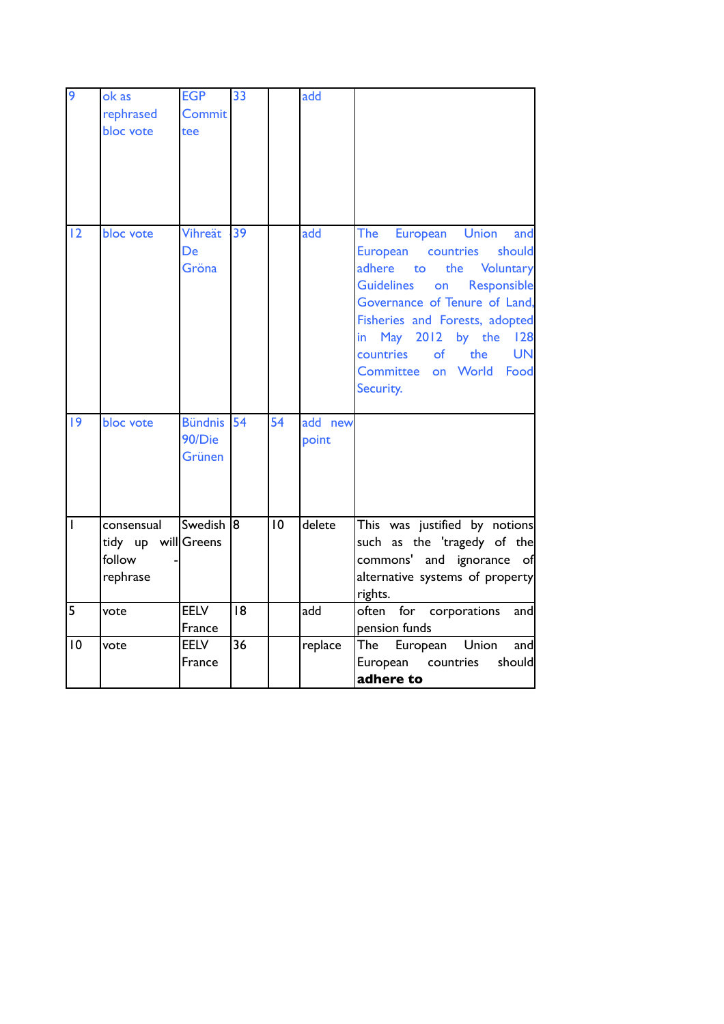| $\overline{9}$ | ok as<br>rephrased<br>bloc vote                         | <b>EGP</b><br>Commit<br>tee        | 33              |    | add                     |                                                                                                                                                                                                                                                                                                                                                     |
|----------------|---------------------------------------------------------|------------------------------------|-----------------|----|-------------------------|-----------------------------------------------------------------------------------------------------------------------------------------------------------------------------------------------------------------------------------------------------------------------------------------------------------------------------------------------------|
| 12             | bloc vote                                               | Vihreät<br>De<br>Gröna             | 39              |    | $\overline{\text{add}}$ | European Union<br>The<br>and<br>countries<br>should<br>European<br>adhere<br><b>Voluntary</b><br>the<br>to<br>Responsible<br><b>Guidelines</b><br>on<br>Governance of Tenure of Land,<br>Fisheries and Forests, adopted<br>in May 2012<br>by the<br>128<br>countries<br>the<br><b>UN</b><br>of<br>on World<br><b>Committee</b><br>Food<br>Security. |
| 9              | bloc vote                                               | <b>Bündnis</b><br>90/Die<br>Grünen | 54              | 54 | add new<br>point        |                                                                                                                                                                                                                                                                                                                                                     |
| $\overline{1}$ | consensual<br>tidy up will Greens<br>follow<br>rephrase | Swedish <sup>8</sup>               |                 | 10 | delete                  | This was justified by notions<br>such as the 'tragedy of the<br>commons' and ignorance of<br>alternative systems of property<br>rights.                                                                                                                                                                                                             |
| 5              | vote                                                    | <b>EELV</b><br>France              | 8               |    | add                     | often<br>for corporations<br>and<br>pension funds                                                                                                                                                                                                                                                                                                   |
| 10             | vote                                                    | <b>EELV</b><br>France              | $\overline{36}$ |    | replace                 | Union<br>The<br>European<br>and<br>European<br>should<br>countries<br>adhere to                                                                                                                                                                                                                                                                     |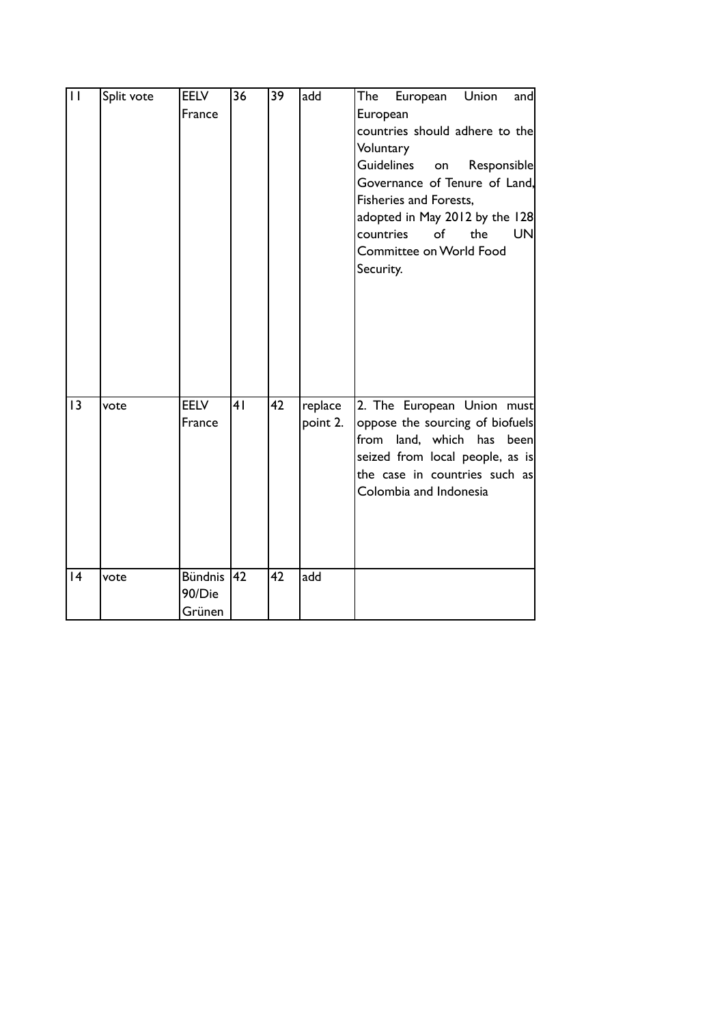| $\overline{11}$ | Split vote | <b>EELV</b><br>France              | 36 | 39 | add                 | European Union<br>and<br>The<br>European<br>countries should adhere to the<br>Voluntary<br><b>Guidelines</b><br>Responsible<br>on<br>Governance of Tenure of Land,<br>Fisheries and Forests,<br>adopted in May 2012 by the 128<br>of the<br>countries<br>UN<br>Committee on World Food<br>Security. |
|-----------------|------------|------------------------------------|----|----|---------------------|-----------------------------------------------------------------------------------------------------------------------------------------------------------------------------------------------------------------------------------------------------------------------------------------------------|
| 13              | vote       | <b>EELV</b><br>France              | 41 | 42 | replace<br>point 2. | 2. The European Union must<br>oppose the sourcing of biofuels<br>from land, which has been<br>seized from local people, as is<br>the case in countries such as<br>Colombia and Indonesia                                                                                                            |
| 4               | vote       | <b>Bündnis</b><br>90/Die<br>Grünen | 42 | 42 | add                 |                                                                                                                                                                                                                                                                                                     |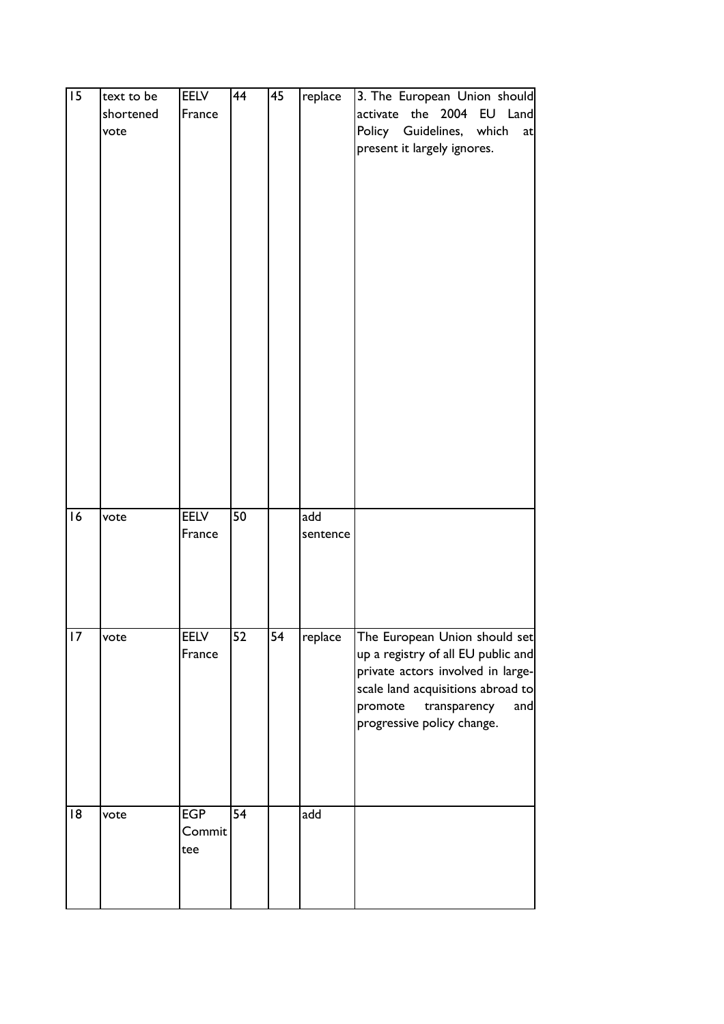| $\overline{15}$ | text to be<br>shortened<br>vote | EELV<br>France              | 44              | 45              | replace         | 3. The European Union should<br>activate the 2004 EU Land<br>Policy Guidelines, which<br>at<br>present it largely ignores.                                                                                    |
|-----------------|---------------------------------|-----------------------------|-----------------|-----------------|-----------------|---------------------------------------------------------------------------------------------------------------------------------------------------------------------------------------------------------------|
| 16              | vote                            | <b>EELV</b><br>France       | 50              |                 | add<br>sentence |                                                                                                                                                                                                               |
| 17              | vote                            | <b>EELV</b><br>France       | $\overline{52}$ | $\overline{54}$ | replace         | The European Union should set<br>up a registry of all EU public and<br>private actors involved in large-<br>scale land acquisitions abroad to<br>promote<br>transparency<br>and<br>progressive policy change. |
| 18              | vote                            | <b>EGP</b><br>Commit<br>tee | $\overline{54}$ |                 | add             |                                                                                                                                                                                                               |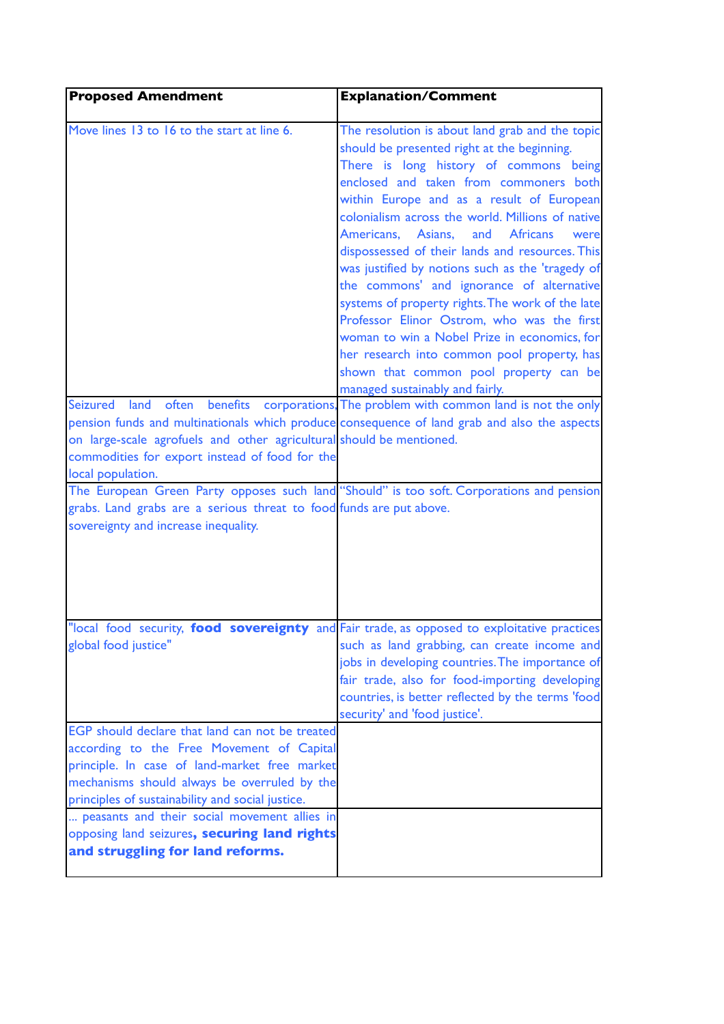| <b>Proposed Amendment</b>                                                                                                                                                                                                                                                                                   | <b>Explanation/Comment</b>                                                                                                                                                                                                                                                                                                                                                                                                                                                                                                                                                                                                                                                                                                                                                                                                                                    |
|-------------------------------------------------------------------------------------------------------------------------------------------------------------------------------------------------------------------------------------------------------------------------------------------------------------|---------------------------------------------------------------------------------------------------------------------------------------------------------------------------------------------------------------------------------------------------------------------------------------------------------------------------------------------------------------------------------------------------------------------------------------------------------------------------------------------------------------------------------------------------------------------------------------------------------------------------------------------------------------------------------------------------------------------------------------------------------------------------------------------------------------------------------------------------------------|
| Move lines 13 to 16 to the start at line 6.<br>Seizured land<br>pension funds and multinationals which produce consequence of land grab and also the aspects<br>on large-scale agrofuels and other agricultural should be mentioned.<br>commodities for export instead of food for the<br>local population. | The resolution is about land grab and the topic<br>should be presented right at the beginning.<br>There is long history of commons being<br>enclosed and taken from commoners both<br>within Europe and as a result of European<br>colonialism across the world. Millions of native<br>Americans,<br>Asians,<br><b>Africans</b><br>and<br>were<br>dispossessed of their lands and resources. This<br>was justified by notions such as the 'tragedy of<br>the commons' and ignorance of alternative<br>systems of property rights. The work of the late<br>Professor Elinor Ostrom, who was the first<br>woman to win a Nobel Prize in economics, for<br>her research into common pool property, has<br>shown that common pool property can be<br>managed sustainably and fairly.<br>often benefits corporations, The problem with common land is not the only |
| The European Green Party opposes such land "Should" is too soft. Corporations and pension<br>grabs. Land grabs are a serious threat to food funds are put above.<br>sovereignty and increase inequality.                                                                                                    |                                                                                                                                                                                                                                                                                                                                                                                                                                                                                                                                                                                                                                                                                                                                                                                                                                                               |
| "local food security, food sovereignty and Fair trade, as opposed to exploitative practices<br>global food justice"                                                                                                                                                                                         | such as land grabbing, can create income and<br>jobs in developing countries. The importance of<br>fair trade, also for food-importing developing<br>countries, is better reflected by the terms 'food<br>security' and 'food justice'.                                                                                                                                                                                                                                                                                                                                                                                                                                                                                                                                                                                                                       |
| EGP should declare that land can not be treated<br>according to the Free Movement of Capital<br>principle. In case of land-market free market<br>mechanisms should always be overruled by the<br>principles of sustainability and social justice.                                                           |                                                                                                                                                                                                                                                                                                                                                                                                                                                                                                                                                                                                                                                                                                                                                                                                                                                               |
| peasants and their social movement allies in<br>opposing land seizures, securing land rights<br>and struggling for land reforms.                                                                                                                                                                            |                                                                                                                                                                                                                                                                                                                                                                                                                                                                                                                                                                                                                                                                                                                                                                                                                                                               |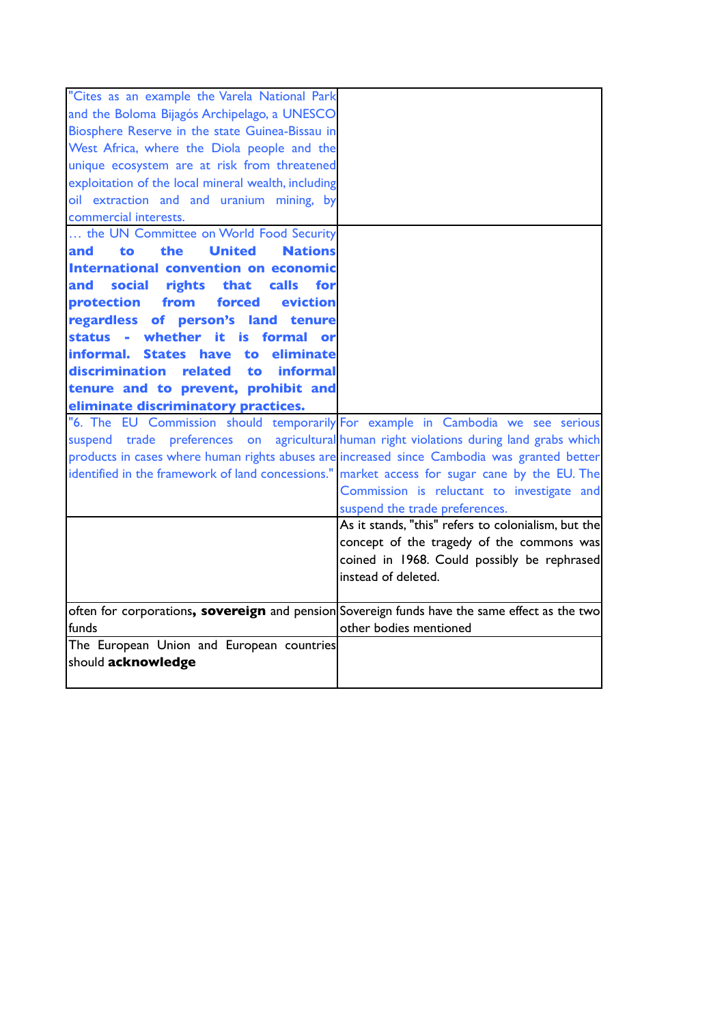| "Cites as an example the Varela National Park                                                 |                                                     |
|-----------------------------------------------------------------------------------------------|-----------------------------------------------------|
| and the Boloma Bijagós Archipelago, a UNESCO                                                  |                                                     |
| Biosphere Reserve in the state Guinea-Bissau in                                               |                                                     |
| West Africa, where the Diola people and the                                                   |                                                     |
| unique ecosystem are at risk from threatened                                                  |                                                     |
| exploitation of the local mineral wealth, including                                           |                                                     |
| oil extraction and and uranium mining, by                                                     |                                                     |
| commercial interests.                                                                         |                                                     |
| the UN Committee on World Food Security                                                       |                                                     |
| <b>United</b><br><b>Nations</b><br>to<br>the<br>and                                           |                                                     |
| International convention on economic                                                          |                                                     |
| social<br>rights that<br>calls<br>and<br>for                                                  |                                                     |
| from<br>forced<br>protection<br>eviction                                                      |                                                     |
| regardless of person's land tenure                                                            |                                                     |
| status - whether it is formal                                                                 |                                                     |
| eliminate<br>linformal.<br>States have to                                                     |                                                     |
| discrimination related to<br><i>informal</i>                                                  |                                                     |
| tenure and to prevent, prohibit and                                                           |                                                     |
| eliminate discriminatory practices.                                                           |                                                     |
| "6. The EU Commission should temporarily For example in Cambodia we see serious               |                                                     |
| suspend trade preferences on agricultural human right violations during land grabs which      |                                                     |
| products in cases where human rights abuses are increased since Cambodia was granted better   |                                                     |
| identified in the framework of land concessions." market access for sugar cane by the EU. The |                                                     |
|                                                                                               | Commission is reluctant to investigate and          |
|                                                                                               | suspend the trade preferences.                      |
|                                                                                               | As it stands, "this" refers to colonialism, but the |
|                                                                                               | concept of the tragedy of the commons was           |
|                                                                                               | coined in 1968. Could possibly be rephrased         |
|                                                                                               | instead of deleted.                                 |
|                                                                                               |                                                     |
| often for corporations, sovereign and pension Sovereign funds have the same effect as the two |                                                     |
| funds                                                                                         | other bodies mentioned                              |
| The European Union and European countries                                                     |                                                     |
| should acknowledge                                                                            |                                                     |
|                                                                                               |                                                     |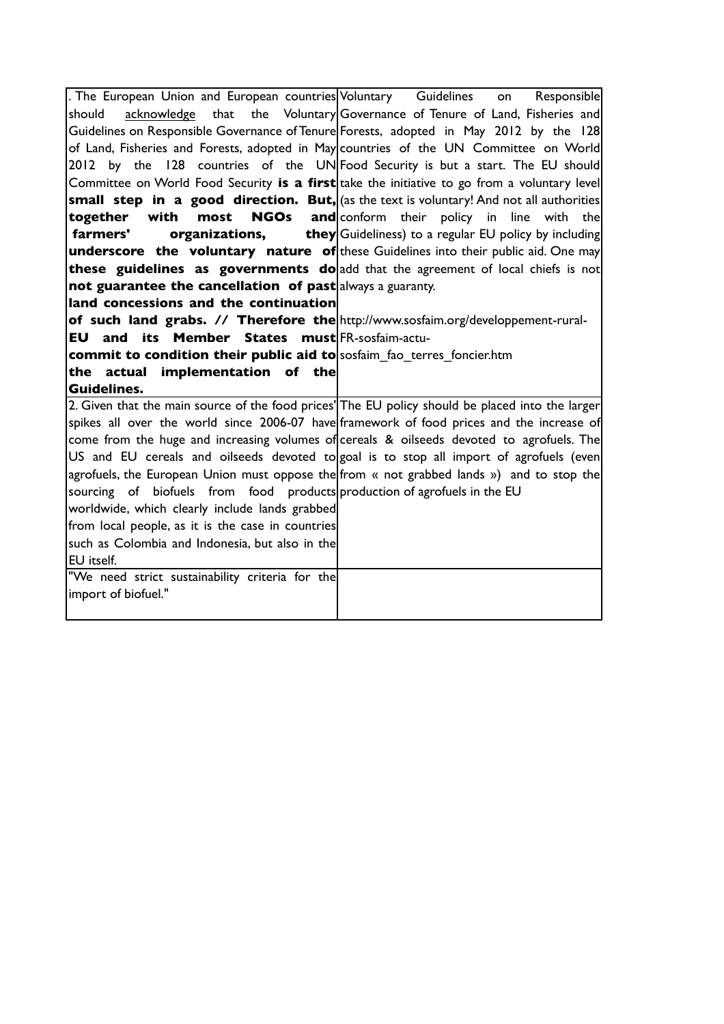. The European Union and European countries should acknowledge that the Voluntary Governance of Tenure of Land, Fisheries and Guidelines on Responsible Governance of Tenure Forests, adopted in May 2012 by the 128 of Land, Fisheries and Forests, adopted in May countries of the UN Committee on World 2012 by the 128 countries of the UN Food Security is but a start. The EU should Committee on World Food Security **is a first** take the initiative to go from a voluntary level **small step in a good direction. But,** (as the text is voluntary! And not all authorities **together** with most NGOs **farmers' organizations, they underscore the voluntary nature of** these Guidelines into their public aid. One may **these guidelines as governments do** add that the agreement of local chiefs is not **hot guarantee the cancellation of past** always a guaranty. **land concessions and the continuation of such land grabs. // Therefore the** http://www.sosfaim.org/developpement-rural-**EU and its Member States must** FR-sosfaim-actu**commit to condition their public aid to** sosfaim\_fao\_terres\_foncier.htm **the actual implementation of the Guidelines.** Guidelines on Responsible  $and|conform$  their policy in line with the  ${\bf they}$ Guideliness) to a regular EU policy by including 2. Given that the main source of the food prices' The EU policy should be placed into the larger spikes all over the world since 2006-07 have framework of food prices and the increase of come from the huge and increasing volumes of cereals & oilseeds devoted to agrofuels. The US and EU cereals and oilseeds devoted to $|$ goal is to stop all import of agrofuels (even agrofuels, the European Union must oppose the from « not grabbed lands ») and to stop the sourcing of biofuels from food products production of agrofuels in the EU worldwide, which clearly include lands grabbed from local people, as it is the case in countries such as Colombia and Indonesia, but also in the EU itself. "We need strict sustainability criteria for the import of biofuel."